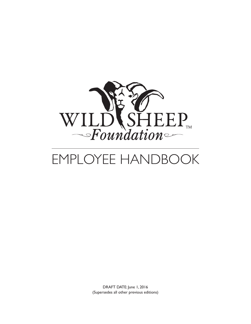

# EMPLOYEE HANDBOOK

DRAFT DATE: June 1, 2016 (Supersedes all other previous editions)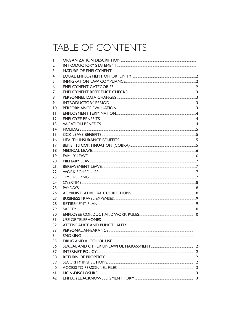#### TABLE OF CONTENTS

| Ι.             |                     |  |
|----------------|---------------------|--|
| 2.             |                     |  |
| 3.             |                     |  |
| 4.             |                     |  |
| 5.             |                     |  |
| 6.             |                     |  |
| 7.             |                     |  |
| 8.             |                     |  |
| 9.             | INTRODUCTORY PERIOD |  |
| 10.            |                     |  |
| $\mathsf{H}$ . |                     |  |
| 12.            |                     |  |
| 13.            |                     |  |
| 4.             |                     |  |
| 15.            |                     |  |
| 16.            |                     |  |
| 17.            |                     |  |
| 18.            |                     |  |
| 19.            |                     |  |
| 20.            |                     |  |
| 21.            |                     |  |
| 22.            |                     |  |
| 23.            |                     |  |
| 24.            |                     |  |
| 25.            |                     |  |
| 26.            |                     |  |
| 27.            |                     |  |
| 28.            |                     |  |
| 29.            |                     |  |
| 30.            |                     |  |
| 31.            |                     |  |
| 32.            |                     |  |
| 33.            |                     |  |
| 34.            |                     |  |
| 35.            |                     |  |
| 36.            |                     |  |
| 37.            |                     |  |
| 38.            |                     |  |
| 39.            |                     |  |
| 40.            |                     |  |
| 41.            |                     |  |
| 42.            |                     |  |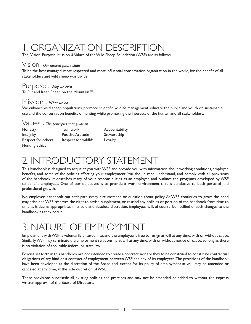## 1. ORGANIZATION DESCRIPTION

The Vision, Purpose, Mission & Values of the Wild Sheep Foundation (WSF) are as follows:

#### Vision - *Our desired future state*

To be the best managed, most respected and most influential conservation organization in the world, for the benefit of all stakeholders and wild sheep worldwide.

#### Purpose - *Why we exist*

To Put and Keep Sheep on the Mountain™

#### Mission - *What we do*

We enhance wild sheep populations, promote scientific wildlife management, educate the public and youth on sustainable use and the conservation benefits of hunting while promoting the interests of the hunter and all stakeholders.

| $Values$ - The principles that guide us |                          |                |
|-----------------------------------------|--------------------------|----------------|
| Honesty                                 | <b>Teamwork</b>          | Accountability |
| Integrity                               | <b>Positive Attitude</b> | Stewardship    |
| Respect for others                      | Respect for wildlife     | Loyalty        |
| <b>Hunting Ethics</b>                   |                          |                |

#### 2. INTRODUCTORY STATEMENT

This handbook is designed to acquaint you with WSF and provide you with information about working conditions, employee benefits, and some of the policies affecting your employment. You should read, understand, and comply with all provisions of the handbook. It describes many of your responsibilities as an employee and outlines the programs developed by WSF to benefit employees. One of our objectives is to provide a work environment that is conducive to both personal and professional growth.

No employee handbook can anticipate every circumstance or question about policy. As WSF continues to grow, the need may arise and WSF reserves the right to revise, supplement, or rescind any policies or portion of the handbook from time to time as it deems appropriate, in its sole and absolute discretion. Employees will, of course, be notified of such changes to the handbook as they occur.

#### 3. NATURE OF EMPLOYMENT

Employment with WSF is voluntarily entered into, and the employee is free to resign at will at any time, with or without cause. Similarly, WSF may terminate the employment relationship at will at any time, with or without notice or cause, so long as there is no violation of applicable federal or state law.

Policies set forth in this handbook are not intended to create a contract, nor are they to be construed to constitute contractual obligations of any kind or a contract of employment between WSF and any of its employees. The provisions of the handbook have been developed at the discretion of the Board and, except for its policy of employment-at-will, may be amended or canceled at any time, at the sole discretion of WSF.

These provisions supersede all existing policies and practices and may not be amended or added to without the express written approval of the Board of Directors.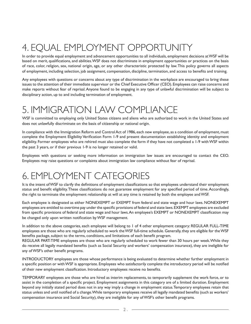## 4. EQUAL EMPLOYMENT OPPORTUNITY

In order to provide equal employment and advancement opportunities to all individuals, employment decisions at WSF will be based on merit, qualifications, and abilities. WSF does not discriminate in employment opportunities or practices on the basis of race, color, religion, sex, national origin, age, or any other characteristic protected by law. This policy governs all aspects of employment, including selection, job assignment, compensation, discipline, termination, and access to benefits and training.

Any employees with questions or concerns about any type of discrimination in the workplace are encouraged to bring these issues to the attention of their immediate supervisor or the Chief Executive Officer (CEO). Employees can raise concerns and make reports without fear of reprisal. Anyone found to be engaging in any type of unlawful discrimination will be subject to disciplinary action, up to and including termination of employment.

#### 5. IMMIGRATION LAW COMPLIANCE

WSF is committed to employing only United States citizens and aliens who are authorized to work in the United States and does not unlawfully discriminate on the basis of citizenship or national origin.

In compliance with the Immigration Reform and Control Act of 1986, each new employee, as a condition of employment, must complete the Employment Eligibility Verification Form 1-9 and present documentation establishing identity and employment eligibility. Former employees who are rehired must also complete the form if they have not completed a 1-9 with WSF within the past 3 years, or if their previous 1-9 is no longer retained or valid.

Employees with questions or seeking more information on immigration law issues are encouraged to contact the CEO. Employees may raise questions or complaints about immigration law compliance without fear of reprisal.

#### 6. EMPLOYMENT CATEGORIES

It is the intent of WSF to clarify the definitions of employment classifications so that employees understand their employment status and benefit eligibility. These classifications do not guarantee employment for any specified period of time. Accordingly, the right to terminate the employment relationship at will at any time is retained by both the employee and WSF.

Each employee is designated as either NONEXEMPT or EXEMPT from federal and state wage and hour laws. NONEXEMPT employees are entitled to overtime pay under the specific provisions of federal and state laws. EXEMPT employees are excluded from specific provisions of federal and state wage and hour laws. An employee's EXEMPT or NONEXEMPT classification may be changed only upon written notification by WSF management.

In addition to the above categories, each employee will belong to 1 of 4 other employment category: REGULAR FULL-TIME employees are those who are regularly scheduled to work the WSF full-time schedule. Generally, they are eligible for the WSF benefits package, subject to the terms, conditions, and limitations of each benefit program.

REGULAR PART-TIME employees are those who are regularly scheduled to work fewer than 30 hours per week. While they do receive all legally mandated benefits (such as Social Security and workers' compensation insurance), they are ineligible for any of WSF's other benefit programs.

INTRODUCTORY employees are those whose performance is being evaluated to determine whether further employment in a specific position or with WSF is appropriate. Employees who satisfactorily complete the introductory period will be notified of their new employment classification. Introductory employees receive no benefits.

TEMPORARY employees are those who are hired as interim replacements, to temporarily supplement the work force, or to assist in the completion of a specific project. Employment assignments in this category are of a limited duration. Employment beyond any initially stated period does not in any way imply a change in employment status. Temporary employees retain that status unless and until notified of a change. While temporary employees receive all legally mandated benefits (such as workers' compensation insurance and Social Security), they are ineligible for any of WSF's other benefit programs.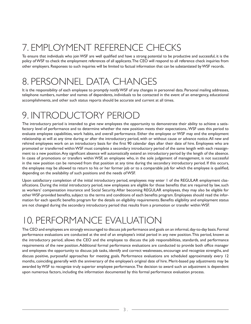## 7. EMPLOYMENT REFERENCE CHECKS

To ensure that individuals who join WSF are well qualified and have a strong potential to be productive and successful, it is the policy of WSF to check the employment references of all applicants. The CEO will respond to all reference check inquiries from other employers. Responses to such inquiries will be limited to factual information that can be substantiated by WSF records.

#### 8. PERSONNEL DATA CHANGES

It is the responsibility of each employee to promptly notify WSF of any changes in personnel data. Personal mailing addresses, telephone numbers, number and names of dependents, individuals to be contacted in the event of an emergency, educational accomplishments, and other such status reports should be accurate and current at all times.

#### 9. INTRODUCTORY PERIOD

The introductory period is intended to give new employees the opportunity to demonstrate their ability to achieve a satisfactory level of performance and to determine whether the new position meets their expectations.. WSF uses this period to evaluate employee capabilities, work habits, and overall performance. Either the employee or WSF may end the employment relationship at will at any time during or after the introductory period, with or without cause or advance notice. All new and rehired employees work on an introductory basis for the first 90 calendar days after their date of hire. Employees who are promoted or transferred within WSF must complete a secondary introductory period of the same length with each reassignment to a new position. Any significant absence will automatically extend an introductory period by the length of the absence. In cases of promotions or transfers within WSF, an employee who, in the sole judgement of management, is not successful in the new position can be removed from that position at any time during the secondary introductory period. If this occurs, the employee may be allowed to return to his or her former job or to a comparable job for which the employee is qualified, depending on the availability of such positions and the needs of WSF.

Upon satisfactory completion of the initial introductory period, employees may enter 1 of the REGULAR employment classifications. During the initial introductory period, new employees are eligible for those benefits that are required by law, such as workers' compensation insurance and Social Security. After becoming REGULAR employees, they may also be eligible for other WSF-provided benefits, subject to the terms and conditions of each benefits program. Employees should read the information for each specific benefits program for the details on eligibility requirements. Benefits eligibility and employment status are not changed during the secondary introductory period that results from a promotion or transfer within WSF.

#### 10. PERFORMANCE EVALUATION

The CEO and employees are strongly encouraged to discuss job performance and goals on an informal, day-to-day basis. Formal performance evaluations are conducted at the end of an employee's initial period in any new position. This period, known as the introductory period, allows the CEO and the employee to discuss the job responsibilities, standards, and performance requirements of the new position. Additional formal performance evaluations are conducted to provide both office manager and employees the opportunity to discuss job tasks, identify and correct weaknesses, encourage and recognize strengths, and discuss positive, purposeful approaches for meeting goals. Performance evaluations are scheduled approximately every 12 months, coinciding generally with the anniversary of the employee's original date of hire. Merit-based pay adjustments may be awarded by WSF to recognize truly superior employee performance. The decision to award such an adjustment is dependent upon numerous factors, including the information documented by this formal performance evaluation process.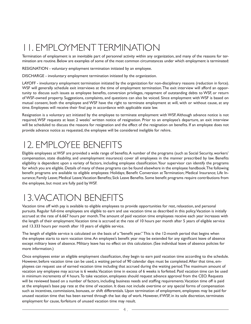## 11. EMPLOYMENT TERMINATION

Termination of employment is an inevitable part of personnel activity within any organization, and many of the reasons for termination are routine. Below are examples of some of the most common circumstances under which employment is terminated:

RESIGNATION - voluntary employment termination initiated by an employee.

DISCHARGE - involuntary employment termination initiated by the organization.

LAYOFF - involuntary employment termination initiated by the organization for non-disciplinary reasons (reduction in force). WSF will generally schedule exit interviews at the time of employment termination. The exit interview will afford an opportunity to discuss such issues as employee benefits, conversion privileges, repayment of outstanding debts to WSF, or return of WSF-owned property. Suggestions, complaints, and questions can also be voiced. Since employment with WSF is based on mutual consent, both the employee and WSF have the right to terminate employment at will, with or without cause, at any time. Employees will receive their final pay in accordance with applicable state law.

Resignation is a voluntary act initiated by the employee to terminate employment with WSF. Although advance notice is not required, WSF requests at least 2 weeks' written notice of resignation. Prior to an employee's departure, an exit interview will be scheduled to discuss the reasons for resignation and the effect of the resignation on benefits. If an employee does not provide advance notice as requested, the employee will be considered ineligible for rehire.

#### 12. EMPLOYEE BENEFITS

Eligible employees at WSF are provided a wide range of benefits. A number of the programs (such as Social Security, workers' compensation, state disability, and unemployment insurance) cover all employees in the manner prescribed by law. Benefits eligibility is dependent upon a variety of factors, including employee classification. Your supervisor can identify the programs for which you are eligible. Details of many of these programs can be found elsewhere in the employee handbook. The following benefit programs are available to eligible employees: Holidays; Benefit Conversion at Termination; Medical Insurance; Life Insurance; Family Leave; Medical Leave; Vacation Benefits; Sick Leave Benefits. Some benefit programs require contributions from the employee, but most are fully paid by WSF.

### 13. VACATION BENEFITS

Vacation time off with pay is available to eligible employees to provide opportunities for rest, relaxation, and personal pursuits. Regular full-time employees are eligible to earn and use vacation time as described in this policy. Vacation is initially accrued at the rate of 6.667 hours per month. The amount of paid vacation time employees receive each year increases with the length of their employment. Vacation time is accrued at the rate of 10 hours per month after 5 years of eligible service and 13.333 hours per month after 10 years of eligible service.

The length of eligible service is calculated on the basis of a "benefit year." This is the 12-month period that begins when the employee starts to earn vacation time. An employee's benefit year may be extended for any significant leave of absence except military leave of absence. Military leave has no effect on this calculation. (See individual leave of absence policies for more information.)

Once employees enter an eligible employment classification, they begin to earn paid vacation time according to the schedule. However, before vacation time can be used, a waiting period of 90 calendar days must be completed. After that time, employees can request use of earned vacation time including that accrued during the waiting period. The maximum amount of vacation any employee may accrue is 6 weeks. Vacation time in excess of 6 weeks is forfeited. Paid vacation time can be used in minimum increments of 4 hours. To take vacation, employees should request advance approval from the CEO. Requests will be reviewed based on a number of factors, including business needs and staffing requirements. Vacation time off is paid at the employee's base pay rate at the time of vacation. It does not include overtime or any special forms of compensation such as incentives, commissions, bonuses, or shift differentials. Upon termination of employment, employees may be paid for unused vacation time that has been earned through the last day of work. However, if WSF, in its sole discretion, terminates employment for cause, forfeiture of unused vacation time may result.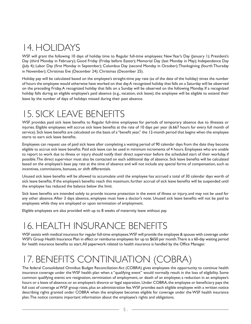### 14. HOLIDAYS

WSF will grant the following 10 days of holiday time to Regular full-time employees: New Year's Day (January 1); President's Day (third Monday in February); Good Friday (Friday before Easter); Memorial Day (last Monday in May); Independence Day (July 4); Labor Day (first Monday in September); Columbus Day (second Monday in October); Thanksgiving (fourth Thursday in November); Christmas Eve (December 24); Christmas (December 25).

Holiday pay will be calculated based on the employee's straight-time pay rate (as of the date of the holiday) times the number of hours the employee would otherwise have worked on that day. A recognized holiday that falls on a Saturday will be observed on the preceding Friday. A recognized holiday that falls on a Sunday will be observed on the following Monday. If a recognized holiday falls during an eligible employee's paid absence (e.g., vacation, sick leave), the employee will be eligible to extend their leave by the number of days of holidays missed during their past absence.

#### 15. SICK LEAVE BENEFITS

WSF provides paid sick leave benefits to Regular full-time employees for periods of temporary absence due to illnesses or injuries. Eligible employees will accrue sick leave benefits at the rate of 10 days per year (6.667 hours for every full month of service). Sick leave benefits are calculated on the basis of a "benefit year," the 12-month period that begins when the employee starts to earn sick leave benefits.

Employees can request use of paid sick leave after completing a waiting period of 90 calendar days from the date they become eligible to accrue sick leave benefits. Paid sick leave can be used in minimum increments of 4 hours. Employees who are unable to report to work due to illness or injury should notify their direct supervisor before the scheduled start of their workday, if possible. The direct supervisor must also be contacted on each additional day of absence. Sick leave benefits will be calculated based on the employee's base pay rate at the time of absence and will not include any special forms of compensation, such as incentives, commissions, bonuses, or shift differentials.

Unused sick leave benefits will be allowed to accumulate until the employee has accrued a total of 30 calendar days worth of sick leave benefits. If the employee's benefits reach this maximum, further accrual of sick leave benefits will be suspended until the employee has reduced the balance below the limit.

Sick leave benefits are intended solely to provide income protection in the event of illness or injury, and may not be used for any other absence. After 3 days absence, employee must have a doctor's note. Unused sick leave benefits will not be paid to employees while they are employed or upon termination of employment.

Eligible employees are also provided with up to 8 weeks of maternity leave without pay.

### 16. HEALTH INSURANCE BENEFITS

WSF assists with medical insurance for regular full-time employees. WSF will provide the employee & spouse with coverage under WSF's Group Health Insurance Plan in effect or reimburse employees for up to \$650 per month. There is a 60-day waiting period for health insurance benefits to start. All paperwork related to health insurance is handled by the Office Manager.

## 17. BENEFITS CONTINUATION (COBRA)

The federal Consolidated Omnibus Budget Reconciliation Act (COBRA) gives employees the opportunity to continue health insurance coverage under the WSF health plan when a "qualifying event" would normally result in the loss of eligibility. Some common qualifying events are resignation, termination of employment, or death of an employee; a reduction in an employee's hours or a leave of absence; or an employee's divorce or legal separation. Under COBRA, the employee or beneficiary pays the full cost of coverage at WSF group rates, plus an administration fee. WSF provides each eligible employee with a written notice describing rights granted under COBRA when the employee becomes eligible for coverage under the WSF health insurance plan. The notice contains important information about the employee's rights and obligations.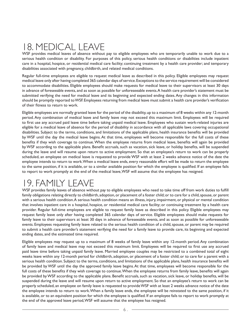#### 18. MEDICAL LEAVE

WSF provides medical leaves of absence without pay to eligible employees who are temporarily unable to work due to a serious health condition or disability. For purposes of this policy, serious health conditions or disabilities include inpatient care in a hospital, hospice, or residential medical care facility; continuing treatment by a health care provider; and temporary disabilities associated with pregnancy, childbirth, and related medical conditions.

Regular full-time employees are eligible to request medical leave as described in this policy. Eligible employees may request medical leave only after having completed 365 calendar days of service. Exceptions to the service requirement will be considered to accommodate disabilities. Eligible employees should make requests for medical leave to their supervisors at least 30 days in advance of foreseeable events, and as soon as possible for unforeseeable events. A health care provider's statement must be submitted verifying the need for medical leave and its beginning and expected ending dates. Any changes in this information should be promptly reported to WSF. Employees returning from medical leave must submit a health care provider's verification of their fitness to return to work.

Eligible employees are normally granted leave for the period of the disability, up to a maximum of 8 weeks within any 12-month period. Any combination of medical leave and family leave may not exceed this maximum limit. Employees will be required to first use any accrued paid leave time before taking unpaid medical leave. Employees who sustain work-related injuries are eligible for a medical leave of absence for the period of disability in accordance with all applicable laws covering occupational disabilities. Subject to the terms, conditions, and limitations of the applicable plans, health insurance benefits will be provided by WSF until the day the medical leave begins. At that time, employees will become responsible for the full costs of these benefits if they wish coverage to continue. When the employee returns from medical leave, benefits will again be provided by WSF according to the applicable plans. Benefit accruals, such as vacation, sick leave, or holiday benefits, will be suspended during the leave and will resume upon return to active employment. So that an employee's return to work can be properly scheduled, an employee on medical leave is requested to provide WSF with at least 2 weeks advance notice of the date the employee intends to return to work. When a medical leave ends, every reasonable effort will be made to return the employee to the same position, if it is available, or to a similar available position for which the employee is qualified. If an employee fails to report to work promptly at the end of the medical leave, WSF will assume that the employee has resigned.

#### 19. FAMILY LEAVE

WSF provides family leaves of absence without pay to eligible employees who need to take time off from work duties to fulfill family obligations relating directly to childbirth, adoption, or placement of a foster child; or to care for a child, spouse, or parent with a serious health condition. A serious health condition means an illness, injury, impairment, or physical or mental condition that involves inpatient care in a hospital, hospice, or residential medical care facility; or continuing treatment by a health care provider. Regular full-time employees are eligible to request family leave as described in this policy. Eligible employees may request family leave only after having completed 365 calendar days of service. Eligible employees should make requests for family leave to their supervisors at least 30 days in advance of foreseeable events, and as soon as possible for unforeseeable events. Employees requesting family leave related to the serious health condition of a child, spouse, or parent may be required to submit a health care provider's statement verifying the need for a family leave to provide care, its beginning and expected ending dates, and the estimated time required.

Eligible employees may request up to a maximum of 8 weeks of family leave within any 12-month period. Any combination of family leave and medical leave may not exceed this maximum limit. Employees will be required to first use any accrued paid leave time before taking unpaid family leave. Married employee couples may be restricted to a combined total of eight weeks leave within any 12-month period for childbirth, adoption, or placement of a foster child; or to care for a parent with a serious health condition. Subject to the terms, conditions, and limitations of the applicable plans, health insurance benefits will be provided by WSF until the day the approved family leave begins. At that time, employees will become responsible for the full costs of these benefits if they wish coverage to continue. When the employee returns from family leave, benefits will again be provided by WSF according to the applicable plans. Benefit accruals, such as vacation, sick leave, or holiday benefits, will be suspended during the leave and will resume upon return to active employment. So that an employee's return to work can be properly scheduled, an employee on family leave is requested to provide WSF with at least 2 weeks advance notice of the date the employee intends to return to work. When a family leave ends, the employee will be reinstated to the same position, if it is available, or to an equivalent position for which the employee is qualified. If an employee fails to report to work promptly at the end of the approved leave period, WSF will assume that the employee has resigned.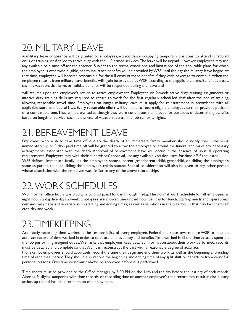## 20. MILITARY LEAVE

A military leave of absence will be granted to employees, except those occupying temporary positions, to attend scheduled drills or training, or if called to active duty with the U.S. armed services. The leave will be unpaid. However, employees may use any available paid time off for the absence. Subject to the terms, conditions, and limitations of the applicable plans for which the employee is otherwise eligible, health insurance benefits will be provided by WSF until the day the military leave begins. At that time, employees will become responsible for the full costs of these benefits if they wish coverage to continue. When the employee returns from military leave, benefits will again be provided by WSF according to the applicable plans. Benefit accruals, such as vacation, sick leave, or holiday benefits, will be suspended during the leave and

will resume upon the employee's return to active employment. Employees on 2-week active duty training assignments or inactive duty training drills are required to return to work for the first regularly scheduled shift after the end of training, allowing reasonable travel time. Employees on longer military leave must apply for reinstatement in accordance with all applicable state and federal laws. Every reasonable effort will be made to return eligible employees to their previous position or a comparable one. They will be treated as though they were continuously employed for purposes of determining benefits based on length of service, such as the rate of vacation accrual and job seniority rights.

#### 21. BEREAVEMENT LEAVE

Employees who wish to take time off due to the death of an immediate family member should notify their supervisor immediately. Up to 3 days paid time off will be granted to allow the employee to attend the funeral and make any necessary arrangements associated with the death. Approval of bereavement leave will occur in the absence of unusual operating requirements. Employees may, with their supervisors' approval, use any available vacation leave for time off if requested. WSF defines "immediate family" as the employee's spouse, parent, grandparent, child, grandchild, or sibling; the employee's spouse's parent, child, or sibling; the employee's child's spouse. Special consideration will also be given to any other person whose association with the employee was similar to any of the above relationships.

#### 22. WORK SCHEDULES

WSF normal office hours are 8:00 a.m. to 5:00 p.m. Monday through Friday. The normal work schedule for all employees is eight hours a day, five days a week. Employees are allowed one unpaid hour per day for lunch. Staffing needs and operational demands may necessitate variations in starting and ending times, as well as variations in the total hours that may be scheduled each day and week.

#### 23. TIMEKEEPING

Accurately recording time worked is the responsibility of every employee. Federal and state laws require WSF to keep an accurate record of time worked in order to calculate employee pay and benefits. Time worked is all the time actually spent on the job performing assigned duties. WSF asks that employees keep detailed information about their work performed; records must be detailed and complete so that WSF can reconstruct the past with a reasonable degree of accuracy.

Nonexempt employees should accurately record the time they begin and end their work, as well as the beginning and ending time of each meal period. They should also record the beginning and ending time of any split shift or departure from work for personal reasons. Overtime work must always be approved before it is performed.

Time sheets must be provided to the Office Manager by 5:00 PM on the 14th and the day before the last day of each month. Altering, falsifying, tampering with time records, or recording time on another employee's time record may result in disciplinary action, up to and including termination of employment.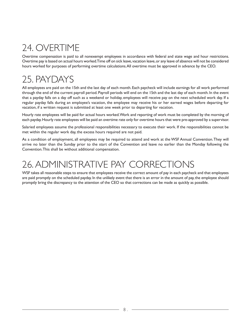### 24. OVERTIME

Overtime compensation is paid to all nonexempt employees in accordance with federal and state wage and hour restrictions. Overtime pay is based on actual hours worked. Time off on sick leave, vacation leave, or any leave of absence will not be considered hours worked for purposes of performing overtime calculations. All overtime must be approved in advance by the CEO.

#### 25. PAYDAYS

All employees are paid on the 15th and the last day of each month. Each paycheck will include earnings for all work performed through the end of the current payroll period. Payroll periods will end on the 15th and the last day of each month. In the event that a payday falls on a day off such as a weekend or holiday, employees will receive pay on the next scheduled work day. If a regular payday falls during an employee's vacation, the employee may receive his or her earned wages before departing for vacation, if a written request is submitted at least one week prior to departing for vacation.

Hourly rate employees will be paid for actual hours worked. Work and reporting of work must be completed by the morning of each payday. Hourly rate employees will be paid an overtime rate only for overtime hours that were pre-approved by a supervisor.

Salaried employees assume the professional responsibilities necessary to execute their work. If the responsibilities cannot be met within the regular work day, the excess hours required are not paid.

As a condition of employment, all employees may be required to attend and work at the WSF Annual Convention. They will arrive no later than the Sunday prior to the start of the Convention and leave no earlier than the Monday following the Convention. This shall be without additional compensation.

### 26. ADMINISTRATIVE PAY CORRECTIONS

WSF takes all reasonable steps to ensure that employees receive the correct amount of pay in each paycheck and that employees are paid promptly on the scheduled payday. In the unlikely event that there is an error in the amount of pay, the employee should promptly bring the discrepancy to the attention of the CEO so that corrections can be made as quickly as possible.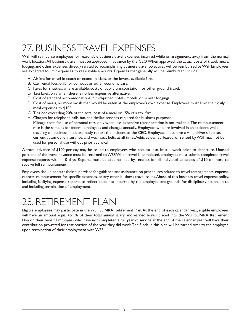## 27. BUSINESS TRAVEL EXPENSES

WSF will reimburse employees for reasonable business travel expenses incurred while on assignments away from the normal work location. All business travel must be approved in advance by the CEO. When approved, the actual costs of travel, meals, lodging, and other expenses directly related to accomplishing business travel objectives will be reimbursed by WSF. Employees are expected to limit expenses to reasonable amounts. Expenses that generally will be reimbursed include:

- A. Airfare for travel in coach or economy class, or the lowest available fare.
- B. Car rental fees, only for compact or other economy cars.
- C. Fares for shuttles, where available; costs of public transportation for other ground travel.
- D. Taxi fares, only when there is no less expensive alternative.
- E. Cost of standard accommodations in mid-priced hotels, motels, or similar lodgings.
- F. Cost of meals, no more lavish than would be eaten at the employee's own expense. Employees must limit their daily meal expenses to \$100.
- G. Tips not exceeding 20% of the total cost of a meal or 15% of a taxi fare.
- H. Charges for telephone calls, fax, and similar services required for business purposes.
- I. Mileage costs for use of personal cars, only when less expensive transportation is not available. The reimbursement rate is the same as for federal employees and changes annually. Employees who are involved in an accident while traveling on business must promptly report the incident to the CEO. Employees must have a valid driver's license, current automobile insurance, and wear seat belts at all times. Vehicles owned, leased, or rented by WSF may not be used for personal use without prior approval.

A travel advance of \$100 per day may be issued to employees who request it at least 1 week prior to departure. Unused portions of the travel advance must be returned to WSF. When travel is completed, employees must submit completed travel expense reports within 10 days. Reports must be accompanied by receipts for all individual expenses of \$10 or more to receive full reimbursement.

Employees should contact their supervisor for guidance and assistance on procedures related to travel arrangements, expense reports, reimbursement for specific expenses, or any other business travel issues. Abuse of this business travel expense policy, including falsifying expense reports to reflect costs not incurred by the employee, are grounds for disciplinary action, up to and including termination of employment.

#### 28. RETIREMENT PLAN

Eligible employees may participate in the WSF SEP-IRA Retirement Plan. At the end of each calendar year, eligible employees will have an amount equal to 5% of their total annual salary and earned bonus placed into the WSF SEP-IRA Retirement Plan on their behalf. Employees who have not completed a full year of service at the end of the calendar year will have their contribution pro-rated for that portion of the year they did work. The funds in this plan will be turned over to the employee upon termination of their employment with WSF.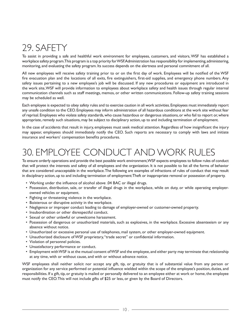#### 29. SAFETY

To assist in providing a safe and healthful work environment for employees, customers, and visitors, WSF has established a workplace safety program. This program is a top priority for WSF. Administration has responsibility for implementing, administering, monitoring, and evaluating the safety program. Its success depends on the alertness and personal commitment of all.

All new employees will receive safety training prior to or on the first day of work. Employees will be notified of the WSF fire evacuation plan and the locations of all exits, fire extinguishers, first-aid supplies, and emergency phone numbers. Any safety issues pertaining to a new employee's job will be discussed. If any new procedures or equipment are introduced in the work site, WSF will provide information to employees about workplace safety and health issues through regular internal communication channels such as staff meetings, memos, or other written communications. Follow-up safety training sessions may be scheduled as well.

Each employee is expected to obey safety rules and to exercise caution in all work activities. Employees must immediately report any unsafe condition to the CEO. Employees may inform administration of all hazardous conditions at the work site without fear of reprisal. Employees who violate safety standards, who cause hazardous or dangerous situations, or who fail to report or, where appropriate, remedy such situations, may be subject to disciplinary action, up to and including termination of employment.

In the case of accidents that result in injury, employees must seek medical attention. Regardless of how insignificant the injury may appear, employees should immediately notify the CEO. Such reports are necessary to comply with laws and initiate insurance and workers' compensation benefits procedures.

#### 30. EMPLOYEE CONDUCT AND WORK RULES

To ensure orderly operations and provide the best possible work environment, WSF expects employees to follow rules of conduct that will protect the interests and safety of all employees and the organization. It is not possible to list all the forms of behavior that are considered unacceptable in the workplace. The following are examples of infractions of rules of conduct that may result in disciplinary action, up to and including termination of employment: Theft or inappropriate removal or possession of property.

- Working under the influence of alcohol above .04 BAC or illegal drugs.
- Possession, distribution, sale, or transfer of illegal drugs in the workplace, while on duty, or while operating employerowned vehicles or equipment.
- Fighting or threatening violence in the workplace.
- Boisterous or disruptive activity in the workplace.
- Negligence or improper conduct leading to damage of employer-owned or customer-owned property.
- Insubordination or other disrespectful conduct.
- Sexual or other unlawful or unwelcome harassment.
- Possession of dangerous or unauthorized materials, such as explosives, in the workplace. Excessive absenteeism or any absence without notice.
- Unauthorized or excessive personal use of telephones, mail system, or other employer-owned equipment.
- Unauthorized disclosure of WSF proprietary, "trade secret" or confidential information.
- Violation of personnel policies.
- Unsatisfactory performance or conduct.
- Employment with WSF is at the mutual consent of WSF and the employee, and either party may terminate that relationship at any time, with or without cause, and with or without advance notice.

WSF employees shall neither solicit nor accept any gift, tip, or gratuity that is of substantial value from any person or organization for any service performed or potential influence wielded within the scope of the employee's position, duties, and responsibilities. If a gift, tip, or gratuity is mailed or personally delivered to an employee either at work or home, the employee must notify the CEO. This will not include gifts of \$25 or less, or given by the Board of Directors.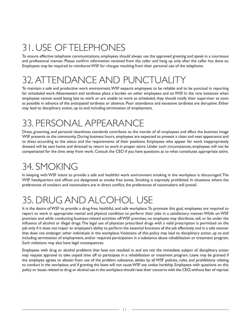## 31. USE OF TELEPHONES

To ensure effective telephone communications, employees should always use the approved greeting and speak in a courteous and professional manner. Please confirm information received from the caller and hang up only after the caller has done so. Employees may be required to reimburse WSF for charges resulting from their personal use of the telephone.

#### 32. ATTENDANCE AND PUNCTUALIT

To maintain a safe and productive work environment, WSF expects employees to be reliable and to be punctual in reporting for scheduled work. Absenteeism and tardiness place a burden on other employees and on WSF. In the rare instances when employees cannot avoid being late to work or are unable to work as scheduled, they should notify their supervisor as soon as possible in advance of the anticipated tardiness or absence. Poor attendance and excessive tardiness are disruptive. Either may lead to disciplinary action, up to and including termination of employment.

#### 33. PERSONAL APPEARANCE

Dress, grooming, and personal cleanliness standards contribute to the morale of all employees and affect the business image WSF presents to the community. During business hours, employees are expected to present a clean and neat appearance and to dress according to the status and the requirements of their positions. Employees who appear for work inappropriately dressed will be sent home and directed to return to work in proper attire. Under such circumstances, employees will not be compensated for the time away from work. Consult the CEO if you have questions as to what constitutes appropriate attire.

### 34. SMOKING

In keeping with WSF intent to provide a safe and healthful work environment smoking in the workplace is discouraged. The WSF headquarters and offices are designated as smoke free zones. Smoking is expressly prohibited. In situations where the preferences of smokers and nonsmokers are in direct conflict, the preferences of nonsmokers will prevail.

## 35. DRUG AND ALCOHOL USE

It is the desire of WSF to provide a drug-free, healthful, and safe workplace. To promote this goal, employees are required to report to work in appropriate mental and physical condition to perform their jobs in a satisfactory manner. While on WSF premises and while conducting business-related activities off WSF premises, no employee may distribute, sell, or be under the influence of alcohol or illegal drugs. The legal use of physician prescribed drugs with a valid prescription is permitted on the job only if it does not impair an employee's ability to perform the essential functions of the job effectively and in a safe manner that does not endanger other individuals in the workplace. Violations of this policy may lead to disciplinary action, up to and including termination of employment, and/or required participation in a substance abuse rehabilitation or treatment program. Such violations may also have legal consequences.

Employees with drug or alcohol problems that have not resulted in, and are not the immediate subject of, disciplinary action may request approval to take unpaid time off to participate in a rehabilitation or treatment program. Leave may be granted if the employee agrees to abstain from use of the problem substance, abides by all WSF policies, rules, and prohibitions relating to conduct in the workplace, and if granting the leave will not cause WSF any undue hardship. Employees with questions on this policy or issues related to drug or alcohol use in the workplace should raise their concerns with the CEO, without fear of reprisal.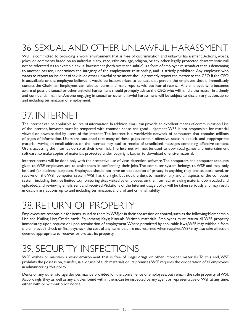## 36. SEXUAL AND OTHER UNLAWFUL HARASSMENT

WSF is committed to providing a work environment that is free of discrimination and unlawful harassment. Actions, words, jokes, or comments based on an individual's sex, race, ethnicity, age, religion, or any other legally protected characteristic will not be tolerated. As an example, sexual harassment (both overt and subtle) is a form of employee misconduct that is demeaning to another person, undermines the integrity of the employment relationship, and is strictly prohibited. Any employee who wants to report an incident of sexual or other unlawful harassment should promptly report the matter to the CEO. If the CEO is unavailable or the employee believes it would be inappropriate to contact that person, the employee should immediately contact the Chairman. Employees can raise concerns and make reports without fear of reprisal. Any employee who becomes aware of possible sexual or other unlawful harassment should promptly advise the CEO, who will handle the matter in a timely and confidential manner. Anyone engaging in sexual or other unlawful harassment will be subject to disciplinary action, up to and including termination of employment.

#### 37. INTERNET

The Internet can be a valuable source of information. In addition, email can provide an excellent means of communication. Use of the Internet, however, must be tempered with common sense and good judgement. WSF is not responsible for material viewed or downloaded by users of the Internet. The Internet is a worldwide network of computers that contains millions of pages of information. Users are cautioned that many of these pages contain offensive, sexually explicit, and inappropriate material. Having an email address on the Internet may lead to receipt of unsolicited messages containing offensive content. Users accessing the Internet do so at their own risk. The Internet will not be used to download games and entertainment software, to make copies of materials protected under copyright law, or to download offensive material.

Internet access will be done only with the protective use of virus detection software. The computers and computer accounts given to WSF employees are to assist them in performing their jobs. The computer system belongs to WSF and may only be used for business purposes. Employees should not have an expectation of privacy in anything they create, store, send, or receive on the WSF computer system. WSF has the right, but not the duty, to monitor any and all aspects of the computer system, including, but not limited to, monitoring sites visited by employees on the Internet, reviewing material downloaded and uploaded, and reviewing emails sent and received. Violations of the Internet usage policy will be taken seriously and may result in disciplinary actions, up to and including termination, and civil and criminal liability.

#### 38. RETURN OF PROPERTY

Employees are responsible for items issued to them by WSF, or in their possession or control, such as the following: Membership List and Mailing List; Credit cards; Equipment; Keys; Manuals; Written materials. Employees must return all WSF property immediately upon request or upon termination of employment. Where permitted by applicable laws, WSF may withhold from the employee's check or final paycheck the cost of any items that are not returned when required. WSF may also take all action deemed appropriate to recover or protect its property.

### 39. SECURITY INSPECTIONS

WSF wishes to maintain a work environment that is free of illegal drugs or other improper materials. To this end, WSF prohibits the possession, transfer, sale, or use of such materials on its premises. WSF requires the cooperation of all employees in administering this policy.

Desks or any other storage devices may be provided for the convenience of employees, but remain the sole property of WSF. Accordingly, they, as well as any articles found within them, can be inspected by any agent or representative of WSF at any time, either with or without prior notice.